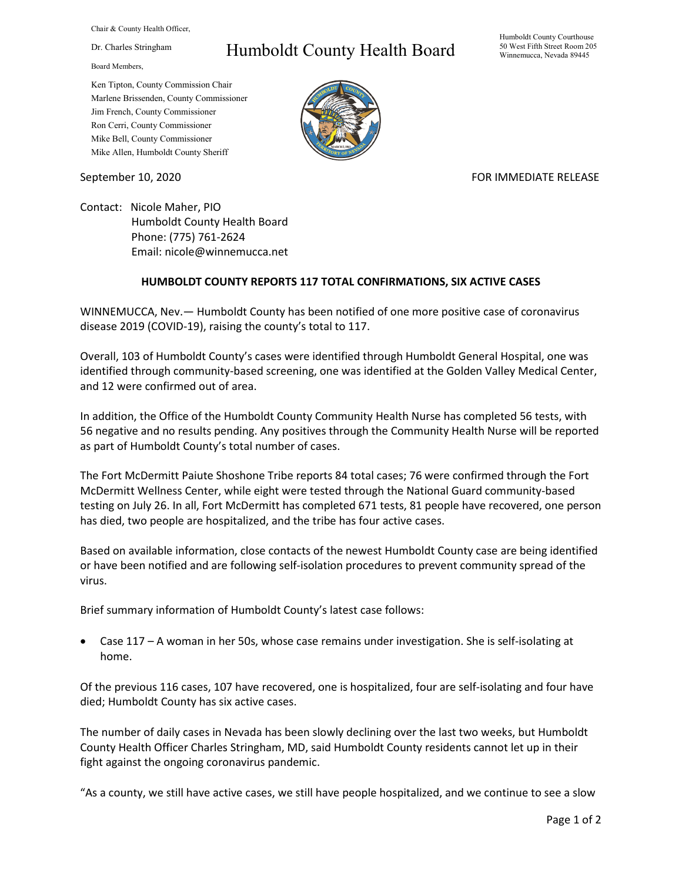Chair & County Health Officer,

Dr. Charles Stringham

Board Members,

## Humboldt County Health Board

Humboldt County Courthouse 50 West Fifth Street Room 205 Winnemucca, Nevada 89445

Ken Tipton, County Commission Chair Marlene Brissenden, County Commissioner Jim French, County Commissioner Ron Cerri, County Commissioner Mike Bell, County Commissioner Mike Allen, Humboldt County Sheriff

September 10, 2020 FOR IMMEDIATE RELEASE

Contact: Nicole Maher, PIO Humboldt County Health Board Phone: (775) 761-2624 Email: nicole@winnemucca.net

## **HUMBOLDT COUNTY REPORTS 117 TOTAL CONFIRMATIONS, SIX ACTIVE CASES**

WINNEMUCCA, Nev.— Humboldt County has been notified of one more positive case of coronavirus disease 2019 (COVID-19), raising the county's total to 117.

Overall, 103 of Humboldt County's cases were identified through Humboldt General Hospital, one was identified through community-based screening, one was identified at the Golden Valley Medical Center, and 12 were confirmed out of area.

In addition, the Office of the Humboldt County Community Health Nurse has completed 56 tests, with 56 negative and no results pending. Any positives through the Community Health Nurse will be reported as part of Humboldt County's total number of cases.

The Fort McDermitt Paiute Shoshone Tribe reports 84 total cases; 76 were confirmed through the Fort McDermitt Wellness Center, while eight were tested through the National Guard community-based testing on July 26. In all, Fort McDermitt has completed 671 tests, 81 people have recovered, one person has died, two people are hospitalized, and the tribe has four active cases.

Based on available information, close contacts of the newest Humboldt County case are being identified or have been notified and are following self-isolation procedures to prevent community spread of the virus.

Brief summary information of Humboldt County's latest case follows:

Case  $117 - A$  woman in her 50s, whose case remains under investigation. She is self-isolating at home.

Of the previous 116 cases, 107 have recovered, one is hospitalized, four are self-isolating and four have died; Humboldt County has six active cases.

The number of daily cases in Nevada has been slowly declining over the last two weeks, but Humboldt County Health Officer Charles Stringham, MD, said Humboldt County residents cannot let up in their fight against the ongoing coronavirus pandemic.

"As a county, we still have active cases, we still have people hospitalized, and we continue to see a slow